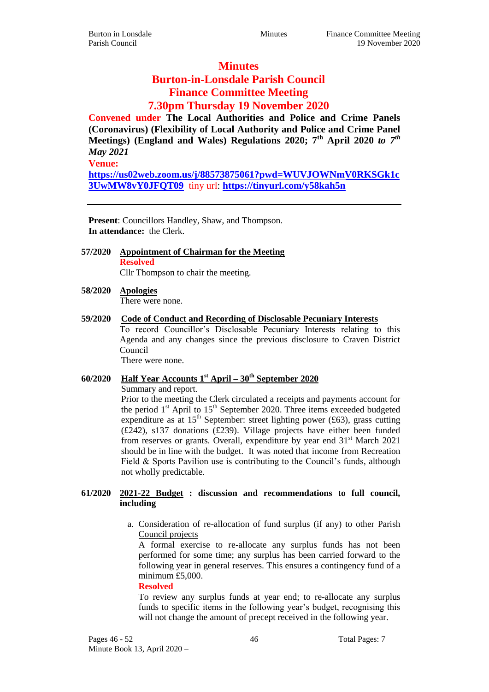# **Minutes**

# **Burton-in-Lonsdale Parish Council Finance Committee Meeting 7.30pm Thursday 19 November 2020**

**Convened under The Local Authorities and Police and Crime Panels (Coronavirus) (Flexibility of Local Authority and Police and Crime Panel Meetings) (England and Wales) Regulations 2020; 7th April 2020** *to 7th May 2021*

**Venue:**

**[https://us02web.zoom.us/j/88573875061?pwd=WUVJOWNmV0RKSGk1c](https://us02web.zoom.us/j/88573875061?pwd=WUVJOWNmV0RKSGk1c3UwMW8vY0JFQT09) [3UwMW8vY0JFQT09](https://us02web.zoom.us/j/88573875061?pwd=WUVJOWNmV0RKSGk1c3UwMW8vY0JFQT09)** tiny url: **<https://tinyurl.com/y58kah5n>**

**Present**: Councillors Handley, Shaw, and Thompson. **In attendance:** the Clerk.

- **57/2020 Appointment of Chairman for the Meeting Resolved** Cllr Thompson to chair the meeting.
- **58/2020 Apologies** There were none.

#### **59/2020 Code of Conduct and Recording of Disclosable Pecuniary Interests**

To record Councillor's Disclosable Pecuniary Interests relating to this Agenda and any changes since the previous disclosure to Craven District Council

There were none.

# **60/2020 Half Year Accounts 1st April – 30th September 2020**

Summary and report.

Prior to the meeting the Clerk circulated a receipts and payments account for the period  $1<sup>st</sup>$  April to  $15<sup>th</sup>$  September 2020. Three items exceeded budgeted expenditure as at 15<sup>th</sup> September: street lighting power (£63), grass cutting (£242), s137 donations (£239). Village projects have either been funded from reserves or grants. Overall, expenditure by year end  $31<sup>st</sup>$  March 2021 should be in line with the budget. It was noted that income from Recreation Field & Sports Pavilion use is contributing to the Council's funds, although not wholly predictable.

#### **61/2020 2021-22 Budget : discussion and recommendations to full council, including**

a. Consideration of re-allocation of fund surplus (if any) to other Parish Council projects

A formal exercise to re-allocate any surplus funds has not been performed for some time; any surplus has been carried forward to the following year in general reserves. This ensures a contingency fund of a minimum £5,000.

#### **Resolved**

To review any surplus funds at year end; to re-allocate any surplus funds to specific items in the following year's budget, recognising this will not change the amount of precept received in the following year.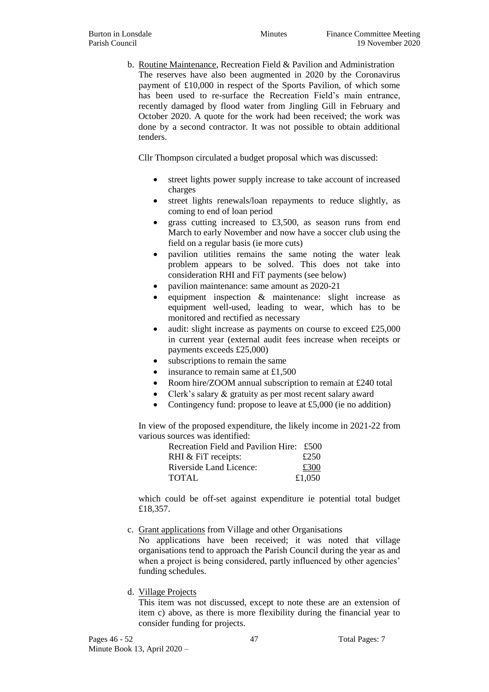b. Routine Maintenance, Recreation Field & Pavilion and Administration The reserves have also been augmented in 2020 by the Coronavirus payment of £10,000 in respect of the Sports Pavilion, of which some has been used to re-surface the Recreation Field's main entrance, recently damaged by flood water from Jingling Gill in February and October 2020. A quote for the work had been received; the work was done by a second contractor. It was not possible to obtain additional tenders.

Cllr Thompson circulated a budget proposal which was discussed:

- street lights power supply increase to take account of increased charges
- street lights renewals/loan repayments to reduce slightly, as coming to end of loan period
- grass cutting increased to £3,500, as season runs from end March to early November and now have a soccer club using the field on a regular basis (ie more cuts)
- pavilion utilities remains the same noting the water leak problem appears to be solved. This does not take into consideration RHI and FiT payments (see below)
- pavilion maintenance: same amount as 2020-21
- equipment inspection & maintenance: slight increase as equipment well-used, leading to wear, which has to be monitored and rectified as necessary
- audit: slight increase as payments on course to exceed  $£25,000$ in current year (external audit fees increase when receipts or payments exceeds £25,000)
- subscriptions to remain the same
- $\bullet$  insurance to remain same at £1,500
- Room hire/ZOOM annual subscription to remain at £240 total
- Clerk's salary & gratuity as per most recent salary award
- Contingency fund: propose to leave at £5,000 (ie no addition)

In view of the proposed expenditure, the likely income in 2021-22 from various sources was identified:

| Recreation Field and Pavilion Hire: £500 |        |
|------------------------------------------|--------|
| RHI & FiT receipts:                      | £250   |
| Riverside Land Licence:                  | £300   |
| <b>TOTAL</b>                             | £1,050 |

which could be off-set against expenditure ie potential total budget £18,357.

c. Grant applications from Village and other Organisations

No applications have been received; it was noted that village organisations tend to approach the Parish Council during the year as and when a project is being considered, partly influenced by other agencies' funding schedules.

#### d. Village Projects

This item was not discussed, except to note these are an extension of item c) above, as there is more flexibility during the financial year to consider funding for projects.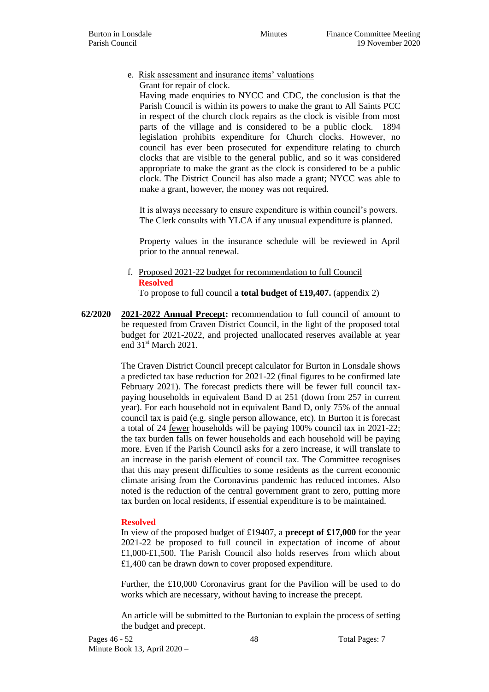#### e. Risk assessment and insurance items' valuations Grant for repair of clock.

Having made enquiries to NYCC and CDC, the conclusion is that the Parish Council is within its powers to make the grant to All Saints PCC in respect of the church clock repairs as the clock is visible from most parts of the village and is considered to be a public clock. 1894 legislation prohibits expenditure for Church clocks. However, no council has ever been prosecuted for expenditure relating to church clocks that are visible to the general public, and so it was considered appropriate to make the grant as the clock is considered to be a public clock. The District Council has also made a grant; NYCC was able to make a grant, however, the money was not required.

It is always necessary to ensure expenditure is within council's powers. The Clerk consults with YLCA if any unusual expenditure is planned.

Property values in the insurance schedule will be reviewed in April prior to the annual renewal.

f. Proposed 2021-22 budget for recommendation to full Council **Resolved**

To propose to full council a **total budget of £19,407.** (appendix 2)

**62/2020 2021-2022 Annual Precept:** recommendation to full council of amount to be requested from Craven District Council, in the light of the proposed total budget for 2021-2022, and projected unallocated reserves available at year end 31<sup>st</sup> March 2021.

> The Craven District Council precept calculator for Burton in Lonsdale shows a predicted tax base reduction for 2021-22 (final figures to be confirmed late February 2021). The forecast predicts there will be fewer full council taxpaying households in equivalent Band D at 251 (down from 257 in current year). For each household not in equivalent Band D, only 75% of the annual council tax is paid (e.g. single person allowance, etc). In Burton it is forecast a total of 24 fewer households will be paying 100% council tax in 2021-22; the tax burden falls on fewer households and each household will be paying more. Even if the Parish Council asks for a zero increase, it will translate to an increase in the parish element of council tax. The Committee recognises that this may present difficulties to some residents as the current economic climate arising from the Coronavirus pandemic has reduced incomes. Also noted is the reduction of the central government grant to zero, putting more tax burden on local residents, if essential expenditure is to be maintained.

#### **Resolved**

In view of the proposed budget of £19407, a **precept of £17,000** for the year 2021-22 be proposed to full council in expectation of income of about £1,000-£1,500. The Parish Council also holds reserves from which about £1,400 can be drawn down to cover proposed expenditure.

Further, the £10,000 Coronavirus grant for the Pavilion will be used to do works which are necessary, without having to increase the precept.

An article will be submitted to the Burtonian to explain the process of setting the budget and precept.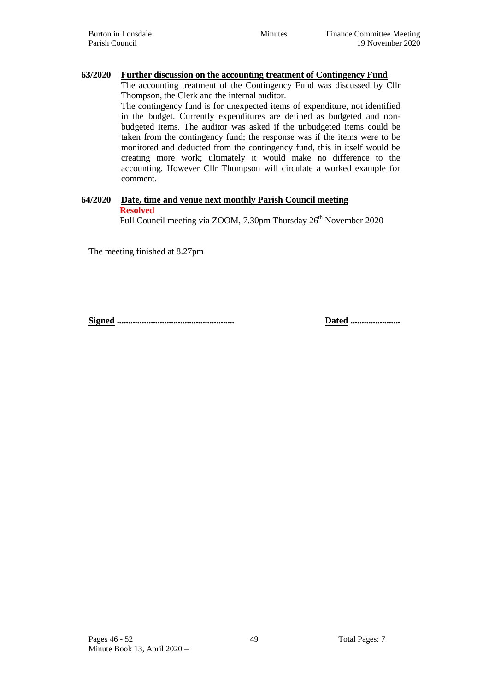### **63/2020 Further discussion on the accounting treatment of Contingency Fund**

The accounting treatment of the Contingency Fund was discussed by Cllr Thompson, the Clerk and the internal auditor.

The contingency fund is for unexpected items of expenditure, not identified in the budget. Currently expenditures are defined as budgeted and nonbudgeted items. The auditor was asked if the unbudgeted items could be taken from the contingency fund; the response was if the items were to be monitored and deducted from the contingency fund, this in itself would be creating more work; ultimately it would make no difference to the accounting. However Cllr Thompson will circulate a worked example for comment.

#### **64/2020 Date, time and venue next monthly Parish Council meeting Resolved**

Full Council meeting via ZOOM, 7.30pm Thursday 26<sup>th</sup> November 2020

The meeting finished at 8.27pm

**Signed .................................................... Dated ......................**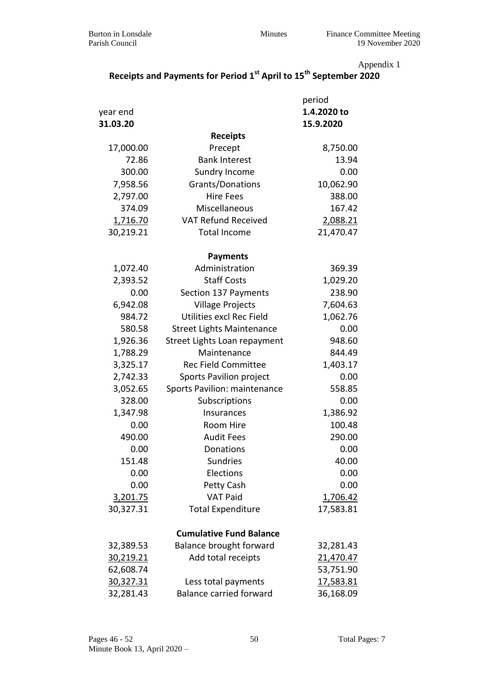Appendix 1

# **Receipts and Payments for Period 1st April to 15th September 2020**

|                 |                                  | period      |
|-----------------|----------------------------------|-------------|
| year end        |                                  | 1.4.2020 to |
| 31.03.20        |                                  | 15.9.2020   |
|                 | <b>Receipts</b>                  |             |
| 17,000.00       | Precept                          | 8,750.00    |
| 72.86           | <b>Bank Interest</b>             | 13.94       |
| 300.00          | <b>Sundry Income</b>             | 0.00        |
| 7,958.56        | Grants/Donations                 | 10,062.90   |
| 2,797.00        | <b>Hire Fees</b>                 | 388.00      |
| 374.09          | Miscellaneous                    | 167.42      |
| <u>1,716.70</u> | <b>VAT Refund Received</b>       | 2,088.21    |
| 30,219.21       | <b>Total Income</b>              | 21,470.47   |
|                 | <b>Payments</b>                  |             |
| 1,072.40        | Administration                   | 369.39      |
| 2,393.52        | <b>Staff Costs</b>               | 1,029.20    |
| 0.00            | Section 137 Payments             | 238.90      |
| 6,942.08        | <b>Village Projects</b>          | 7,604.63    |
| 984.72          | Utilities excl Rec Field         | 1,062.76    |
| 580.58          | <b>Street Lights Maintenance</b> | 0.00        |
| 1,926.36        | Street Lights Loan repayment     | 948.60      |
| 1,788.29        | Maintenance                      | 844.49      |
| 3,325.17        | <b>Rec Field Committee</b>       | 1,403.17    |
| 2,742.33        | Sports Pavilion project          | 0.00        |
| 3,052.65        | Sports Pavilion: maintenance     | 558.85      |
| 328.00          | Subscriptions                    | 0.00        |
| 1,347.98        | Insurances                       | 1,386.92    |
| 0.00            | Room Hire                        | 100.48      |
| 490.00          | <b>Audit Fees</b>                | 290.00      |
| 0.00            | Donations                        | 0.00        |
| 151.48          | <b>Sundries</b>                  | 40.00       |
| 0.00            | Elections                        | 0.00        |
| 0.00            | Petty Cash                       | 0.00        |
| <u>3,201.75</u> | <b>VAT Paid</b>                  | 1,706.42    |
| 30,327.31       | <b>Total Expenditure</b>         | 17,583.81   |
|                 | <b>Cumulative Fund Balance</b>   |             |
| 32,389.53       | <b>Balance brought forward</b>   | 32,281.43   |
| 30,219.21       | Add total receipts               | 21,470.47   |
| 62,608.74       |                                  | 53,751.90   |
| 30,327.31       | Less total payments              | 17,583.81   |
| 32,281.43       | <b>Balance carried forward</b>   | 36,168.09   |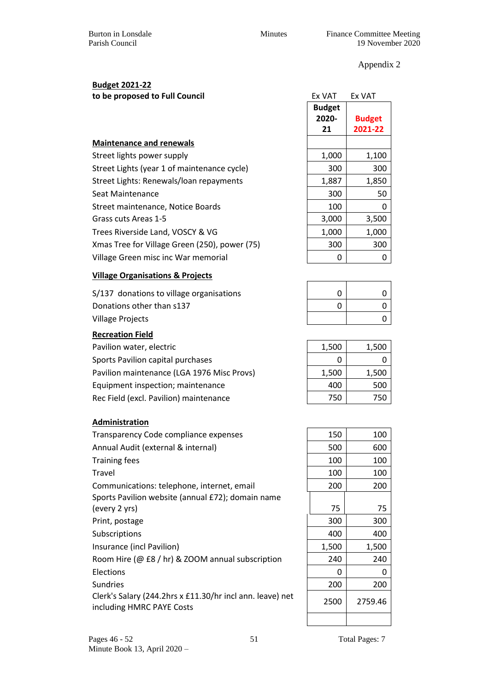Burton in Lonsdale Minutes Finance Committee Meeting Parish Council 19 November 2020

Appendix 2

# **Budget 2021-22**

to be proposed to Full Council

|                                               | DUUKCL |               |
|-----------------------------------------------|--------|---------------|
|                                               | 2020-  | <b>Budget</b> |
|                                               | 21     | 2021-22       |
| <b>Maintenance and renewals</b>               |        |               |
| Street lights power supply                    | 1,000  | 1,100         |
| Street Lights (year 1 of maintenance cycle)   | 300    | 300           |
| Street Lights: Renewals/loan repayments       | 1,887  | 1,850         |
| Seat Maintenance                              | 300    | 50            |
| Street maintenance, Notice Boards             | 100    | 0             |
| Grass cuts Areas 1-5                          | 3,000  | 3,500         |
| Trees Riverside Land, VOSCY & VG              | 1,000  | 1,000         |
| Xmas Tree for Village Green (250), power (75) | 300    | 300           |
| Village Green misc inc War memorial           | 0      | 0             |
|                                               |        |               |

# **Village Organisations & Projects**

S/137 donations to village organisations Donations other than s137 Village Projects 0

### **Recreation Field**

Pavilion water, electric Sports Pavilion capital purchases Pavilion maintenance (LGA 1976 Misc Provs) Equipment inspection; maintenance Rec Field (excl. Pavilion) maintenance

### **Administration**

| Transparency Code compliance expenses                                                  | 150   | 100     |
|----------------------------------------------------------------------------------------|-------|---------|
| Annual Audit (external & internal)                                                     | 500   | 600     |
| <b>Training fees</b>                                                                   | 100   | 100     |
| Travel                                                                                 | 100   | 100     |
| Communications: telephone, internet, email                                             | 200   | 200     |
| Sports Pavilion website (annual £72); domain name                                      |       |         |
| (every 2 yrs)                                                                          | 75    | 75      |
| Print, postage                                                                         | 300   | 300     |
| Subscriptions                                                                          | 400   | 400     |
| Insurance (incl Pavilion)                                                              | 1,500 | 1,500   |
| Room Hire (@ £8 / hr) & ZOOM annual subscription                                       | 240   | 240     |
| <b>Elections</b>                                                                       | 0     | 0       |
| <b>Sundries</b>                                                                        | 200   | 200     |
| Clerk's Salary (244.2hrs x £11.30/hr incl ann. leave) net<br>including HMRC PAYE Costs | 2500  | 2759.46 |

| Ex VAT        | Ex VAT        |
|---------------|---------------|
| <b>Budget</b> |               |
| 2020-         | <b>Budget</b> |
| 21            | 2021-22       |
|               |               |
| 1,000         | 1,100         |
| 300           | 300           |
| 1,887         | 1,850         |
| 300           | 50            |
| 100           | 0             |
| 3,000         | 3,500         |
| 1,000         | 1,000         |
| 300           | 300           |
| 0             | ი             |

| 0 | O        |
|---|----------|
|   |          |
| 0 | O        |
|   | $\Omega$ |

| 1,500 | 1,500 |
|-------|-------|
| Ω     | 0     |
| 1,500 | 1,500 |
| 400   | 500   |
| 750   | 750   |
|       |       |

| 150   | 100     |
|-------|---------|
| 500   | 600     |
| 100   | 100     |
| 100   | 100     |
| 200   | 200     |
| 75    | 75      |
| 300   | 300     |
| 400   | 400     |
| 1,500 | 1,500   |
| 240   | 240     |
| 0     | 0       |
| 200   | 200     |
| 2500  | 2759.46 |
|       |         |